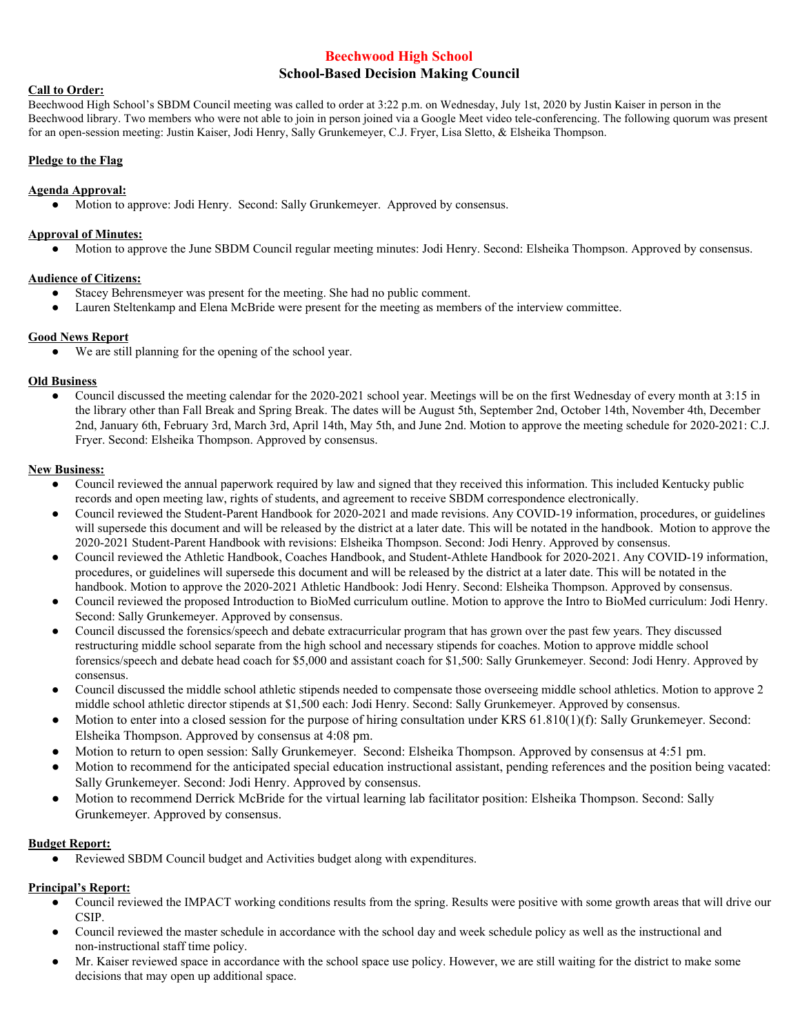#### **Beechwood High School**

# **School-Based Decision Making Council**

#### **Call to Order:**

Beechwood High School's SBDM Council meeting was called to order at 3:22 p.m. on Wednesday, July 1st, 2020 by Justin Kaiser in person in the Beechwood library. Two members who were not able to join in person joined via a Google Meet video tele-conferencing. The following quorum was present for an open-session meeting: Justin Kaiser, Jodi Henry, Sally Grunkemeyer, C.J. Fryer, Lisa Sletto, & Elsheika Thompson.

## **Pledge to the Flag**

#### **Agenda Approval:**

● Motion to approve: Jodi Henry. Second: Sally Grunkemeyer. Approved by consensus.

#### **Approval of Minutes:**

● Motion to approve the June SBDM Council regular meeting minutes: Jodi Henry. Second: Elsheika Thompson. Approved by consensus.

### **Audience of Citizens:**

- Stacey Behrensmeyer was present for the meeting. She had no public comment.
- Lauren Steltenkamp and Elena McBride were present for the meeting as members of the interview committee.

# **Good News Report**

● We are still planning for the opening of the school year.

# **Old Business**

Council discussed the meeting calendar for the 2020-2021 school year. Meetings will be on the first Wednesday of every month at 3:15 in the library other than Fall Break and Spring Break. The dates will be August 5th, September 2nd, October 14th, November 4th, December 2nd, January 6th, February 3rd, March 3rd, April 14th, May 5th, and June 2nd. Motion to approve the meeting schedule for 2020-2021: C.J. Fryer. Second: Elsheika Thompson. Approved by consensus.

### **New Business:**

- Council reviewed the annual paperwork required by law and signed that they received this information. This included Kentucky public records and open meeting law, rights of students, and agreement to receive SBDM correspondence electronically.
- Council reviewed the Student-Parent Handbook for 2020-2021 and made revisions. Any COVID-19 information, procedures, or guidelines will supersede this document and will be released by the district at a later date. This will be notated in the handbook. Motion to approve the 2020-2021 Student-Parent Handbook with revisions: Elsheika Thompson. Second: Jodi Henry. Approved by consensus.
- Council reviewed the Athletic Handbook, Coaches Handbook, and Student-Athlete Handbook for 2020-2021. Any COVID-19 information, procedures, or guidelines will supersede this document and will be released by the district at a later date. This will be notated in the handbook. Motion to approve the 2020-2021 Athletic Handbook: Jodi Henry. Second: Elsheika Thompson. Approved by consensus.
- Council reviewed the proposed Introduction to BioMed curriculum outline. Motion to approve the Intro to BioMed curriculum: Jodi Henry. Second: Sally Grunkemeyer. Approved by consensus.
- Council discussed the forensics/speech and debate extracurricular program that has grown over the past few years. They discussed restructuring middle school separate from the high school and necessary stipends for coaches. Motion to approve middle school forensics/speech and debate head coach for \$5,000 and assistant coach for \$1,500: Sally Grunkemeyer. Second: Jodi Henry. Approved by consensus.
- Council discussed the middle school athletic stipends needed to compensate those overseeing middle school athletics. Motion to approve 2 middle school athletic director stipends at \$1,500 each: Jodi Henry. Second: Sally Grunkemeyer. Approved by consensus.
- Motion to enter into a closed session for the purpose of hiring consultation under KRS  $61.810(1)(f)$ : Sally Grunkemeyer. Second: Elsheika Thompson. Approved by consensus at 4:08 pm.
- Motion to return to open session: Sally Grunkemeyer. Second: Elsheika Thompson. Approved by consensus at 4:51 pm.
- Motion to recommend for the anticipated special education instructional assistant, pending references and the position being vacated: Sally Grunkemeyer. Second: Jodi Henry. Approved by consensus.
- Motion to recommend Derrick McBride for the virtual learning lab facilitator position: Elsheika Thompson. Second: Sally Grunkemeyer. Approved by consensus.

# **Budget Report:**

Reviewed SBDM Council budget and Activities budget along with expenditures.

# **Principal's Report:**

- Council reviewed the IMPACT working conditions results from the spring. Results were positive with some growth areas that will drive our CSIP.
- Council reviewed the master schedule in accordance with the school day and week schedule policy as well as the instructional and non-instructional staff time policy.
- Mr. Kaiser reviewed space in accordance with the school space use policy. However, we are still waiting for the district to make some decisions that may open up additional space.